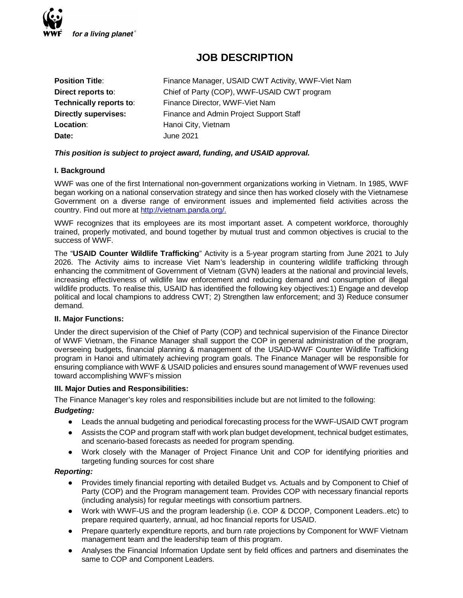

# **JOB DESCRIPTION**

| <b>Position Title:</b>      | Finance Manager, USAID CWT Activity, WWF-Viet Nam |
|-----------------------------|---------------------------------------------------|
| Direct reports to:          | Chief of Party (COP), WWF-USAID CWT program       |
| Technically reports to:     | Finance Director, WWF-Viet Nam                    |
| <b>Directly supervises:</b> | Finance and Admin Project Support Staff           |
| Location:                   | Hanoi City, Vietnam                               |
| Date:                       | <b>June 2021</b>                                  |

# *This position is subject to project award, funding, and USAID approval.*

# **I. Background**

WWF was one of the first International non-government organizations working in Vietnam. In 1985, WWF began working on a national conservation strategy and since then has worked closely with the Vietnamese Government on a diverse range of environment issues and implemented field activities across the country. Find out more at http://vietnam.panda.org/.

WWF recognizes that its employees are its most important asset. A competent workforce, thoroughly trained, properly motivated, and bound together by mutual trust and common objectives is crucial to the success of WWF.

The "**USAID Counter Wildlife Trafficking**" Activity is a 5-year program starting from June 2021 to July 2026. The Activity aims to increase Viet Nam's leadership in countering wildlife trafficking through enhancing the commitment of Government of Vietnam (GVN) leaders at the national and provincial levels, increasing effectiveness of wildlife law enforcement and reducing demand and consumption of illegal wildlife products. To realise this, USAID has identified the following key objectives:1) Engage and develop political and local champions to address CWT; 2) Strengthen law enforcement; and 3) Reduce consumer demand.

#### **II. Major Functions:**

Under the direct supervision of the Chief of Party (COP) and technical supervision of the Finance Director of WWF Vietnam, the Finance Manager shall support the COP in general administration of the program, overseeing budgets, financial planning & management of the USAID-WWF Counter Wildlife Trafficking program in Hanoi and ultimately achieving program goals. The Finance Manager will be responsible for ensuring compliance with WWF & USAID policies and ensures sound management of WWF revenues used toward accomplishing WWF's mission

#### **III. Major Duties and Responsibilities:**

The Finance Manager's key roles and responsibilities include but are not limited to the following:

# *Budgeting:*

- Leads the annual budgeting and periodical forecasting process for the WWF-USAID CWT program
- Assists the COP and program staff with work plan budget development, technical budget estimates, and scenario-based forecasts as needed for program spending.
- Work closely with the Manager of Project Finance Unit and COP for identifying priorities and targeting funding sources for cost share

#### *Reporting:*

- Provides timely financial reporting with detailed Budget vs. Actuals and by Component to Chief of Party (COP) and the Program management team. Provides COP with necessary financial reports (including analysis) for regular meetings with consortium partners.
- Work with WWF-US and the program leadership (i.e. COP & DCOP, Component Leaders..etc) to prepare required quarterly, annual, ad hoc financial reports for USAID.
- Prepare quarterly expenditure reports, and burn rate projections by Component for WWF Vietnam management team and the leadership team of this program.
- Analyses the Financial Information Update sent by field offices and partners and diseminates the same to COP and Component Leaders.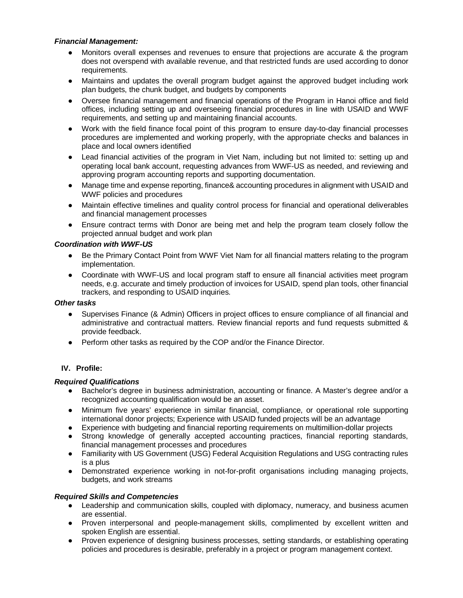# *Financial Management:*

- Monitors overall expenses and revenues to ensure that projections are accurate & the program does not overspend with available revenue, and that restricted funds are used according to donor requirements.
- Maintains and updates the overall program budget against the approved budget including work plan budgets, the chunk budget, and budgets by components
- Oversee financial management and financial operations of the Program in Hanoi office and field offices, including setting up and overseeing financial procedures in line with USAID and WWF requirements, and setting up and maintaining financial accounts.
- Work with the field finance focal point of this program to ensure day-to-day financial processes procedures are implemented and working properly, with the appropriate checks and balances in place and local owners identified
- Lead financial activities of the program in Viet Nam, including but not limited to: setting up and operating local bank account, requesting advances from WWF-US as needed, and reviewing and approving program accounting reports and supporting documentation.
- Manage time and expense reporting, finance& accounting procedures in alignment with USAID and WWF policies and procedures
- Maintain effective timelines and quality control process for financial and operational deliverables and financial management processes
- Ensure contract terms with Donor are being met and help the program team closely follow the projected annual budget and work plan

### *Coordination with WWF-US*

- Be the Primary Contact Point from WWF Viet Nam for all financial matters relating to the program implementation.
- Coordinate with WWF-US and local program staff to ensure all financial activities meet program needs, e.g. accurate and timely production of invoices for USAID, spend plan tools, other financial trackers, and responding to USAID inquiries.

#### *Other tasks*

- Supervises Finance (& Admin) Officers in project offices to ensure compliance of all financial and administrative and contractual matters. Review financial reports and fund requests submitted & provide feedback.
- Perform other tasks as required by the COP and/or the Finance Director.

# **IV. Profile:**

#### *Required Qualifications*

- Bachelor's degree in business administration, accounting or finance. A Master's degree and/or a recognized accounting qualification would be an asset.
- Minimum five years' experience in similar financial, compliance, or operational role supporting international donor projects; Experience with USAID funded projects will be an advantage
- Experience with budgeting and financial reporting requirements on multimillion-dollar projects
- Strong knowledge of generally accepted accounting practices, financial reporting standards, financial management processes and procedures
- Familiarity with US Government (USG) Federal Acquisition Regulations and USG contracting rules is a plus
- Demonstrated experience working in not-for-profit organisations including managing projects, budgets, and work streams

# *Required Skills and Competencies*

- Leadership and communication skills, coupled with diplomacy, numeracy, and business acumen are essential.
- Proven interpersonal and people-management skills, complimented by excellent written and spoken English are essential.
- Proven experience of designing business processes, setting standards, or establishing operating policies and procedures is desirable, preferably in a project or program management context.